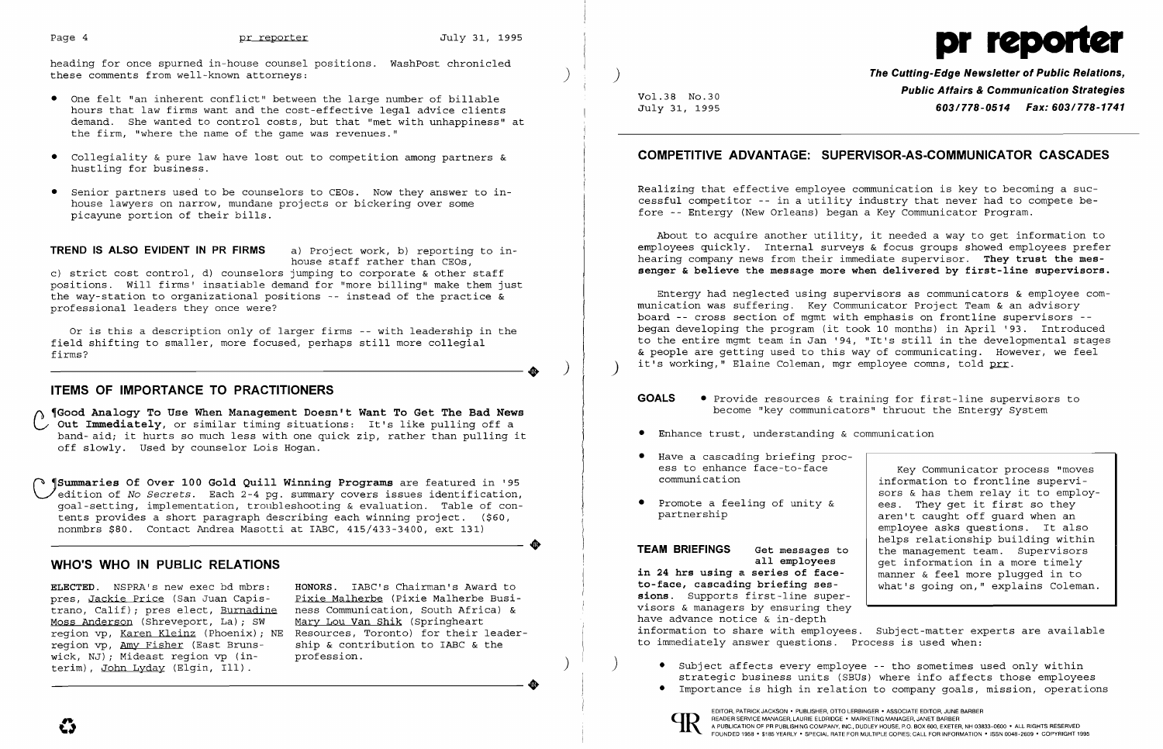

- • One felt "an inherent conflict" between the large number of billable hours that law firms want and the cost-effective legal advice clients demand. She wanted to control costs, but that "met with unhappiness" at the firm, "where the name of the game was revenues."
- • Collegiality & pure law have lost out to competition among partners & hustling for business.
- • Senior partners used to be counselors to CEOs. Now they answer to in house lawyers on narrow, mundane projects or bickering over some picayune portion of their bills. j

heading for once spurned in-house counsel positions. WashPost chronicled these comments from well-known attorneys: )

a, rroject work, b, reporting<br>house staff rather than CEOs, c) strict cost control, d) counselors jumping to corporate & other staff positions. will firms' insatiable demand for "more billing" make them just the way-station to organizational positions -- instead of the practice & professional leaders they once were?

TREND IS ALSO EVIDENT IN PR FIRMS a) Project work, b) reporting to in-

(1) Cood Analogy To Use When Management Doesn't Want To Get The Bad News<br>C Out Immediately, or similar timing situations: It's like pulling off a Out Immediately, or similar timing situations: It's like pulling off a<br>band-aid; it hurts so much less with one quick zip, rather than pulling it off slowly. Used by counselor Lois Hogan.

ELECTED. NSPRA's new exec bd mbrs: HONORS. IABC's Chairman's Award to pres, Jackie Price (San Juan Capis-<br>trano, Calif); pres elect, Burnadine Moss Anderson (Shreveport, La); SW region vp, <u>Karen Kleinz</u> (Phoenix); NE Resources, Toronto) for their leader region vp, Amy Fisher (East Bruns-<br>region vp, Amy Fisher (East Bruns-<br>Resolup & contribution to IABC & the region vp, <u>Amy Fisher</u> (East Bruns-<br>wick, NJ); Mideast region vp (in-<br>profession. wick, NJ); Mideast region vp (in-<br>terim), John Lyday (Elgin, Ill).

Pixie Malherbe (Pixie Malherbe Business Communication, South Africa) &<br>Mary Lou Van Shik (Springheart Resources, Toronto) for their leader-

**•** 

Or is this a description only of larger firms -- with leadership in the field shifting to smaller, more focused, perhaps still more collegial ----------------------. ) firms?

## ITEMS OF IMPORTANCE TO PRACTITIONERS

Entergy had neglected using supervisors as communicators & employee communication was suffering. Key Communicator Project Team & an advisory board -- cross section of mgmt with emphasis on frontline supervisors began developing the program (it took 10 months) in April '93. Introduced to the entire mgmt team in Jan '94, "It's still in the developmental stages & people are getting used to this way of communicating. However, we feel it's working," Elaine Coleman, mgr employee comns, told prr.

 ~Summaries Of Over 100 Gold Quill Winning Programs are featured in '95 ~edition of No *Secrets.* Each 2-4 pg. summary covers issues identification, goal-setting, implementation, troubleshooting & evaluation. Table of contents provides a short paragraph describing each winning project. (\$60, nonmbrs \$80. Contact Andrea Masotti at IABC, 415/433-3400, ext 131)

# WHO'S WHO IN PUBLIC RELATIONS

- GOALS Provide resources & training for first-line supervisors to
- • Enhance trust, understanding & communication
- • Have a cascading briefing process to enhance face-to-face communication
- • Promote a feeling of unity & partnership

) The Cutting-Edge Newsletter of Public Relations, Vol.38 No.30 **Public Affairs & Communication Strategies**<br>July 31, 1995 **178, 1995 603/778-0514 Fax: 603/778-1741** July 31, 1995 603/778-0514 Fax: 603/778-1741

## COMPETITIVE ADVANTAGE: SUPERVISOR-AS-COMMUNICATOR CASCADES

Realizing that effective employee communication is key to becoming a successful competitor -- in a utility industry that never had to compete before -- Entergy (New Orleans) began a Key Communicator Program.

About to acquire another utility, it needed a way to get information to employees quickly. Internal surveys & focus groups showed employees prefer hearing company news from their immediate supervisor. They trust the messenger & believe the message more when delivered by first-line supervisors.

become "key communicators" thruout the Entergy System

TEAM BRIEFINGS Get messages to all employees

in 24 hrs using a series of faceto-face, cascading briefing sessions. Supports first-line supervisors & managers by ensuring they have advance notice & in-depth information to share with employees. Subject-matter experts are available what's going on," explains Coleman. to immediately answer questions. Process is used when:

- -

Key Communicator process "moves information to frontline supervisors & has them relay it to employees. They get it first so they aren't caught off guard when an employee asks questions. It also helps relationship building within the management team. Supervisors get information in a more timely manner & feel more plugged in to

• Subject affects every employee -- tho sometimes used only within<br>strategic business units (SBUs) where info affects those employees strategic business units (SBUs) where info affects those employees that is the sometimes used only within the strategic business units (SBUs) where info affects those employees employees of the sometimes used only within s

EDITOR, PATRICK JACKSON' PUBLISHER, OTTO LERBINGER • ASSOCIATE EDITOR, JUNE BARBER